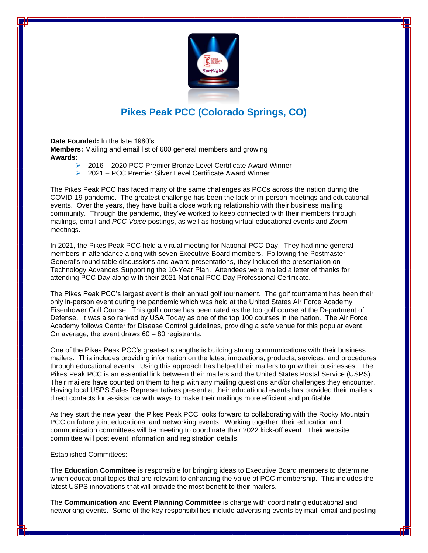

## **Pikes Peak PCC (Colorado Springs, CO)**

**Date Founded:** In the late 1980's **Members:** Mailing and email list of 600 general members and growing **Awards:** 

- ➢ 2016 2020 PCC Premier Bronze Level Certificate Award Winner
- ➢ 2021 PCC Premier Silver Level Certificate Award Winner

The Pikes Peak PCC has faced many of the same challenges as PCCs across the nation during the COVID-19 pandemic. The greatest challenge has been the lack of in-person meetings and educational events. Over the years, they have built a close working relationship with their business mailing community. Through the pandemic, they've worked to keep connected with their members through mailings, email and *PCC Voice* postings, as well as hosting virtual educational events and *Zoom* meetings.

In 2021, the Pikes Peak PCC held a virtual meeting for National PCC Day. They had nine general members in attendance along with seven Executive Board members. Following the Postmaster General's round table discussions and award presentations, they included the presentation on Technology Advances Supporting the 10-Year Plan. Attendees were mailed a letter of thanks for attending PCC Day along with their 2021 National PCC Day Professional Certificate.

The Pikes Peak PCC's largest event is their annual golf tournament. The golf tournament has been their only in-person event during the pandemic which was held at the United States Air Force Academy Eisenhower Golf Course. This golf course has been rated as the top golf course at the Department of Defense. It was also ranked by USA Today as one of the top 100 courses in the nation. The Air Force Academy follows Center for Disease Control guidelines, providing a safe venue for this popular event. On average, the event draws 60 – 80 registrants.

One of the Pikes Peak PCC's greatest strengths is building strong communications with their business mailers. This includes providing information on the latest innovations, products, services, and procedures through educational events. Using this approach has helped their mailers to grow their businesses. The Pikes Peak PCC is an essential link between their mailers and the United States Postal Service (USPS). Their mailers have counted on them to help with any mailing questions and/or challenges they encounter. Having local USPS Sales Representatives present at their educational events has provided their mailers direct contacts for assistance with ways to make their mailings more efficient and profitable.

As they start the new year, the Pikes Peak PCC looks forward to collaborating with the Rocky Mountain PCC on future joint educational and networking events. Working together, their education and communication committees will be meeting to coordinate their 2022 kick-off event. Their website committee will post event information and registration details.

## Established Committees:

The **Education Committee** is responsible for bringing ideas to Executive Board members to determine which educational topics that are relevant to enhancing the value of PCC membership. This includes the latest USPS innovations that will provide the most benefit to their mailers.

The **Communication** and **Event Planning Committee** is charge with coordinating educational and networking events. Some of the key responsibilities include advertising events by mail, email and posting